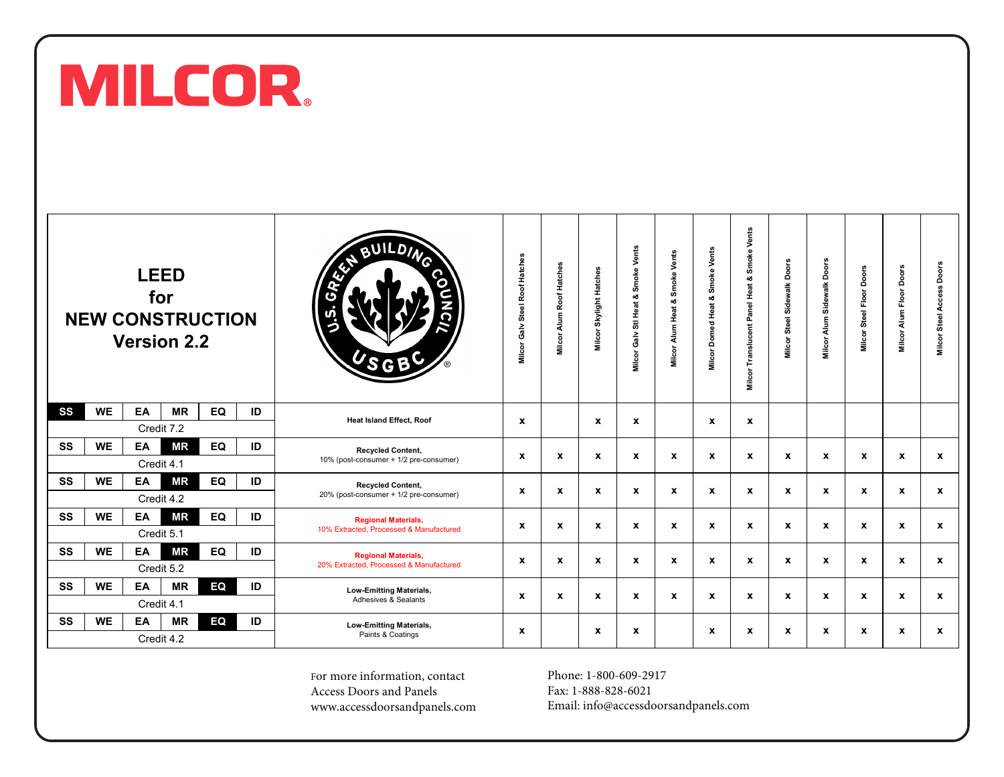

|    |           |    | <b>LEED</b><br>for<br><b>Version 2.2</b> | <b>NEW CONSTRUCTION</b> |    | JILDING<br>⌒<br>ົດ                                                    | Galv Steel Roof Hatches<br>Milcor | Alum Roof Hatches<br>Milcor. | Skylight Hatches<br>Milcor | Smoke Vents<br>Sti Heat &<br><b>Milcor Galv</b> | Smoke Vents<br>න්<br>Heat<br>Alum I<br>Milcor | Smoke Vents<br>ಜೆ<br><b>Milcor Domed Heat</b> | Vents<br>Smoke <sup>'</sup><br>oð<br>Panel Heat<br>Translucent<br>Milcor | Doors<br><b>Milcor Steel Sidewalk</b> | Doors<br>Sidewalk<br>Alum<br>Milcor | Milcor Steel Floor Doors | Doors<br>Alum Floor<br>Milcor | Doors<br>Steel Access<br>Milcor: |
|----|-----------|----|------------------------------------------|-------------------------|----|-----------------------------------------------------------------------|-----------------------------------|------------------------------|----------------------------|-------------------------------------------------|-----------------------------------------------|-----------------------------------------------|--------------------------------------------------------------------------|---------------------------------------|-------------------------------------|--------------------------|-------------------------------|----------------------------------|
| SS | <b>WE</b> | EA | ΜR<br>Credit 7.2                         | EQ                      | ID | <b>Heat Island Effect, Roof</b>                                       | $\mathbf{x}$                      |                              | $\boldsymbol{\mathsf{x}}$  | x                                               |                                               | $\boldsymbol{\mathsf{x}}$                     | X                                                                        |                                       |                                     |                          |                               |                                  |
| SS | <b>WE</b> | EA | ΜR<br>Credit 4.1                         | EQ                      | ID | <b>Recycled Content,</b><br>10% (post-consumer + 1/2 pre-consumer)    | x                                 | X                            | $\boldsymbol{x}$           | X                                               | X                                             | $\boldsymbol{\mathsf{x}}$                     | X                                                                        | X                                     | $\boldsymbol{x}$                    | X                        | $\mathbf{x}$                  | $\boldsymbol{x}$                 |
| SS | <b>WE</b> | EA | <b>MR</b><br>Credit 4.2                  | EQ                      | ID | <b>Recycled Content.</b><br>20% (post-consumer + 1/2 pre-consumer)    | x                                 | X                            | $\boldsymbol{x}$           | x                                               | X                                             | $\boldsymbol{\mathsf{x}}$                     | X                                                                        | X                                     | $\boldsymbol{x}$                    | X                        | $\mathbf{x}$                  | $\boldsymbol{x}$                 |
| SS | <b>WE</b> | EA | <b>MR</b><br>Credit 5.1                  | EQ                      | ID | <b>Regional Materials,</b><br>10% Extracted, Processed & Manufactured | x                                 | X                            | $\boldsymbol{\mathsf{x}}$  | X                                               | X                                             | $\boldsymbol{\mathsf{x}}$                     | X                                                                        | $\pmb{\chi}$                          | $\boldsymbol{x}$                    | X                        | $\boldsymbol{x}$              | $\mathbf x$                      |
| SS | <b>WE</b> | EA | <b>MR</b><br>Credit 5.2                  | EQ                      | ID | <b>Regional Materials,</b><br>20% Extracted, Processed & Manufactured | x                                 | x                            | $\mathbf x$                | X                                               | X                                             | $\boldsymbol{\mathsf{x}}$                     | x                                                                        | X                                     | x                                   | X                        | $\mathbf x$                   | $\mathbf x$                      |
| SS | <b>WE</b> | EA | ΜR<br>Credit 4.1                         | EQ                      | ID | <b>Low-Emitting Materials,</b><br>Adhesives & Sealants                | x                                 | x                            | x                          | x                                               | X                                             | $\mathbf x$                                   | x                                                                        | X                                     | x                                   | X                        | $\mathbf x$                   | X                                |
| SS | <b>WE</b> | EA | <b>MR</b><br>Credit 4.2                  | EQ                      | ID | <b>Low-Emitting Materials,</b><br>Paints & Coatings                   | x                                 |                              | $\boldsymbol{x}$           | x                                               |                                               | $\boldsymbol{\mathsf{x}}$                     | X                                                                        | X                                     | $\boldsymbol{x}$                    | X                        | $\mathbf{x}$                  | $\boldsymbol{x}$                 |

For more information, contact Access Doors and Panels [www.accessdoorsandpanels.com](https://www.accessdoorsandpanels.com/) Phone: 1-800-609-2917 Fax: 1-888-828-6021 Email: info@accessdoorsandpanels.com